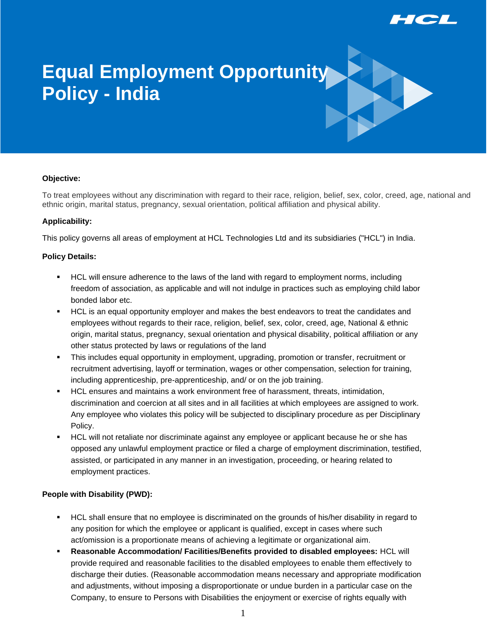

# **Equal Employment Opportunity Policy - India**

#### **Objective:**

To treat employees without any discrimination with regard to their race, religion, belief, sex, color, creed, age, national and ethnic origin, marital status, pregnancy, sexual orientation, political affiliation and physical ability.

#### **Applicability:**

This policy governs all areas of employment at HCL Technologies Ltd and its subsidiaries ("HCL") in India.

#### **Policy Details:**

- HCL will ensure adherence to the laws of the land with regard to employment norms, including freedom of association, as applicable and will not indulge in practices such as employing child labor bonded labor etc.
- HCL is an equal opportunity employer and makes the best endeavors to treat the candidates and employees without regards to their race, religion, belief, sex, color, creed, age, National & ethnic origin, marital status, pregnancy, sexual orientation and physical disability, political affiliation or any other status protected by laws or regulations of the land
- This includes equal opportunity in employment, upgrading, promotion or transfer, recruitment or recruitment advertising, layoff or termination, wages or other compensation, selection for training, including apprenticeship, pre-apprenticeship, and/ or on the job training.
- HCL ensures and maintains a work environment free of harassment, threats, intimidation, discrimination and coercion at all sites and in all facilities at which employees are assigned to work. Any employee who violates this policy will be subjected to disciplinary procedure as per Disciplinary Policy.
- HCL will not retaliate nor discriminate against any employee or applicant because he or she has opposed any unlawful employment practice or filed a charge of employment discrimination, testified, assisted, or participated in any manner in an investigation, proceeding, or hearing related to employment practices.

### **People with Disability (PWD):**

- HCL shall ensure that no employee is discriminated on the grounds of his/her disability in regard to any position for which the employee or applicant is qualified, except in cases where such act/omission is a proportionate means of achieving a legitimate or organizational aim.
- **Reasonable Accommodation/ Facilities/Benefits provided to disabled employees:** HCL will provide required and reasonable facilities to the disabled employees to enable them effectively to discharge their duties. (Reasonable accommodation means necessary and appropriate modification and adjustments, without imposing a disproportionate or undue burden in a particular case on the Company, to ensure to Persons with Disabilities the enjoyment or exercise of rights equally with